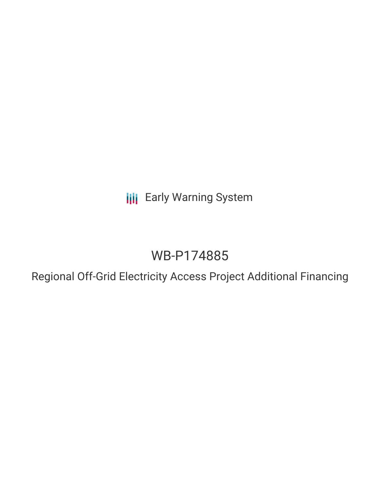**III** Early Warning System

# WB-P174885

Regional Off-Grid Electricity Access Project Additional Financing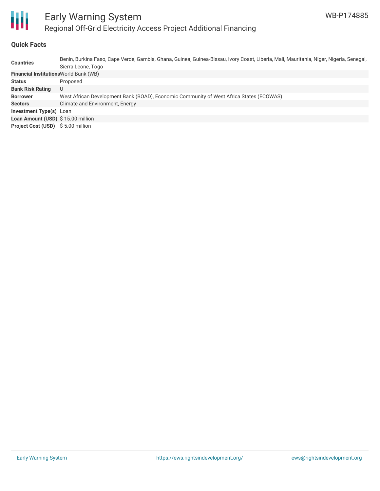

# **Quick Facts**

| <b>Countries</b>                              | Benin, Burkina Faso, Cape Verde, Gambia, Ghana, Guinea, Guinea-Bissau, Ivory Coast, Liberia, Mali, Mauritania, Niger, Nigeria, Senegal,<br>Sierra Leone, Togo |
|-----------------------------------------------|---------------------------------------------------------------------------------------------------------------------------------------------------------------|
| <b>Financial Institutions World Bank (WB)</b> |                                                                                                                                                               |
| <b>Status</b>                                 | Proposed                                                                                                                                                      |
| <b>Bank Risk Rating</b>                       | U                                                                                                                                                             |
| <b>Borrower</b>                               | West African Development Bank (BOAD), Economic Community of West Africa States (ECOWAS)                                                                       |
| <b>Sectors</b>                                | Climate and Environment, Energy                                                                                                                               |
| <b>Investment Type(s)</b> Loan                |                                                                                                                                                               |
| Loan Amount (USD) \$15.00 million             |                                                                                                                                                               |
| <b>Project Cost (USD)</b> \$5.00 million      |                                                                                                                                                               |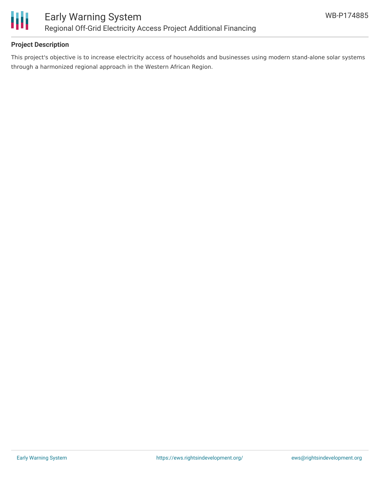

## **Project Description**

This project's objective is to increase electricity access of households and businesses using modern stand-alone solar systems through a harmonized regional approach in the Western African Region.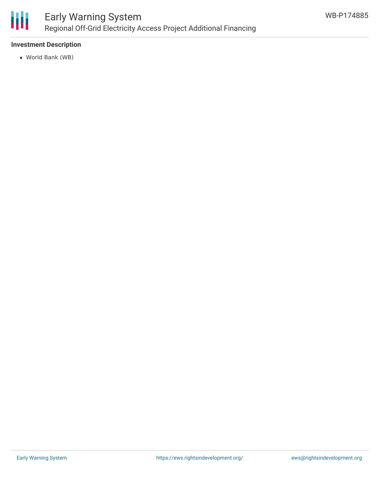

## **Investment Description**

World Bank (WB)